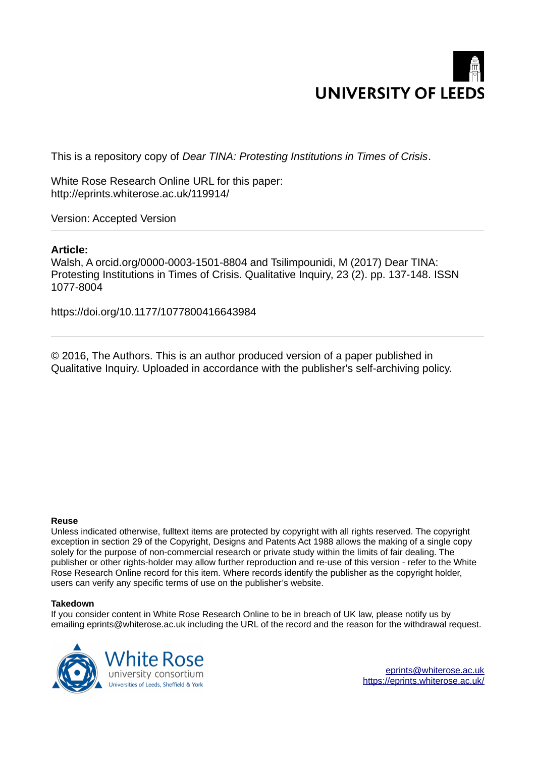

This is a repository copy of *Dear TINA: Protesting Institutions in Times of Crisis*.

White Rose Research Online URL for this paper: http://eprints.whiterose.ac.uk/119914/

Version: Accepted Version

# **Article:**

Walsh, A orcid.org/0000-0003-1501-8804 and Tsilimpounidi, M (2017) Dear TINA: Protesting Institutions in Times of Crisis. Qualitative Inquiry, 23 (2). pp. 137-148. ISSN 1077-8004

https://doi.org/10.1177/1077800416643984

© 2016, The Authors. This is an author produced version of a paper published in Qualitative Inquiry. Uploaded in accordance with the publisher's self-archiving policy.

#### **Reuse**

Unless indicated otherwise, fulltext items are protected by copyright with all rights reserved. The copyright exception in section 29 of the Copyright, Designs and Patents Act 1988 allows the making of a single copy solely for the purpose of non-commercial research or private study within the limits of fair dealing. The publisher or other rights-holder may allow further reproduction and re-use of this version - refer to the White Rose Research Online record for this item. Where records identify the publisher as the copyright holder, users can verify any specific terms of use on the publisher's website.

#### **Takedown**

If you consider content in White Rose Research Online to be in breach of UK law, please notify us by emailing eprints@whiterose.ac.uk including the URL of the record and the reason for the withdrawal request.



[eprints@whiterose.ac.uk](mailto:eprints@whiterose.ac.uk) <https://eprints.whiterose.ac.uk/>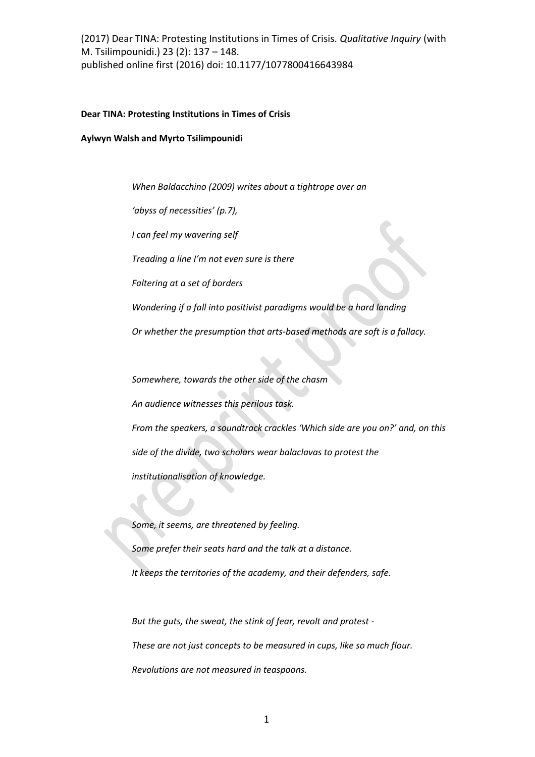### **Dear TINA: Protesting Institutions in Times of Crisis**

**Aylwyn Walsh and Myrto Tsilimpounidi** 

*When Baldacchino (2009) writes about a tightrope over an* 

'abyss of necessities' (p.7),

*I can feel my wavering self* 

*Treading a line I'm not even sure is there* 

*Faltering at a set of borders* 

*Wondering if a fall into positivist paradigms would be a hard landing* 

*Or whether the presumption that arts-based methods are soft is a fallacy.* 

*Somewhere, towards the other side of the chasm* 

*An audience witnesses this perilous task.* 

*From the speakers, a soundtrack crackles 'Which side are you on?' and, on this side of the divide, two scholars wear balaclavas to protest the institutionalisation of knowledge.* 

*Some, it seems, are threatened by feeling. Some prefer their seats hard and the talk at a distance. It keeps the territories of the academy, and their defenders, safe.* 

*But the guts, the sweat, the stink of fear, revolt and protest - These are not just concepts to be measured in cups, like so much flour. Revolutions are not measured in teaspoons.*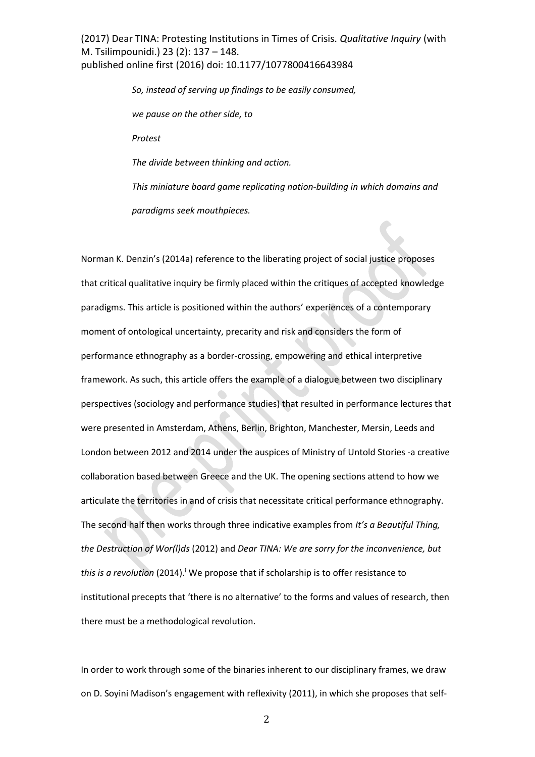> *So, instead of serving up findings to be easily consumed, we pause on the other side, to Protest The divide between thinking and action. This miniature board game replicating nation-building in which domains and paradigms seek mouthpieces.*

Norman K. Denzin's (2014a) reference to the liberating project of social justice proposes that critical qualitative inquiry be firmly placed within the critiques of accepted knowledge paradigms. This article is positioned within the authors' experiences of a contemporary moment of ontological uncertainty, precarity and risk and considers the form of performance ethnography as a border-crossing, empowering and ethical interpretive framework. As such, this article offers the example of a dialogue between two disciplinary perspectives (sociology and performance studies) that resulted in performance lectures that were presented in Amsterdam, Athens, Berlin, Brighton, Manchester, Mersin, Leeds and London between 2012 and 2014 under the auspices of Ministry of Untold Stories -a creative collaboration based between Greece and the UK. The opening sections attend to how we articulate the territories in and of crisis that necessitate critical performance ethnography. The second half then works through three indicative examples from *It's a Beautiful Thing*, *the Destruction of Wor(l)ds* (2012) and *Dear TINA: We are sorry for the inconvenience, but*  this is a revolution (2014).<sup>*i*</sup> We propose that if scholarship is to offer resistance to institutional precepts that 'there is no alternative' to the forms and values of research, then there must be a methodological revolution.

In order to work through some of the binaries inherent to our disciplinary frames, we draw on D. Soyini Madison's engagement with reflexivity (2011), in which she proposes that self-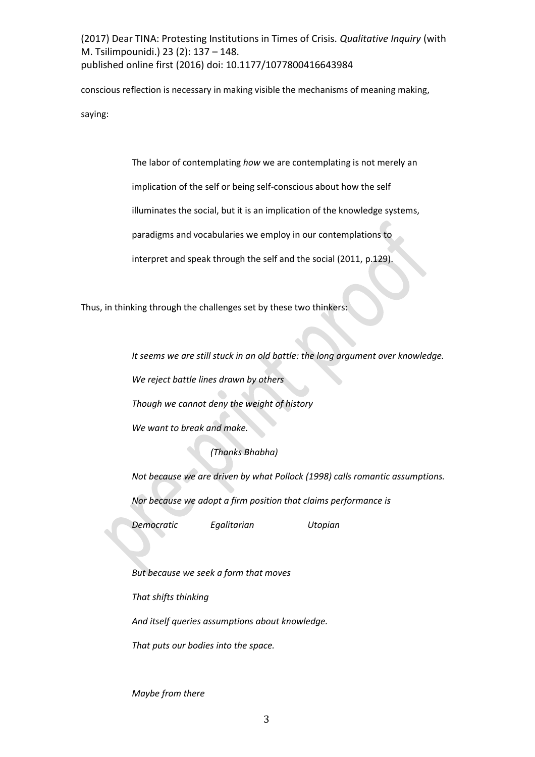conscious reflection is necessary in making visible the mechanisms of meaning making, saying:

The labor of contemplating *how* we are contemplating is not merely an

implication of the self or being self-conscious about how the self

illuminates the social, but it is an implication of the knowledge systems,

paradigms and vocabularies we employ in our contemplations to

interpret and speak through the self and the social (2011, p.129).

Thus, in thinking through the challenges set by these two thinkers:

*It seems we are still stuck in an old battle: the long argument over knowledge.* 

*We reject battle lines drawn by others* 

*Though we cannot deny the weight of history* 

*We want to break and make.* 

*(Thanks Bhabha)* 

*Not because we are driven by what Pollock (1998) calls romantic assumptions.* 

*Nor because we adopt a firm position that claims performance is* 

*Democratic Egalitarian Utopian* 

*But because we seek a form that moves* 

*That shifts thinking* 

*And itself queries assumptions about knowledge.* 

*That puts our bodies into the space.* 

*Maybe from there*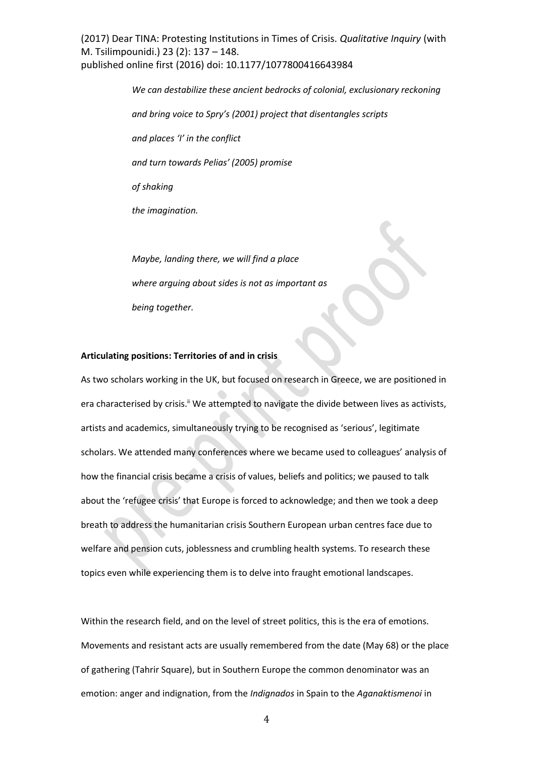> *We can destabilize these ancient bedrocks of colonial, exclusionary reckoning*  and bring voice to Spry's (2001) project that disentangles scripts and places 'I' in the conflict *and turn towards Pelias' (2005) promise of shaking the imagination. Maybe, landing there, we will find a place where arguing about sides is not as important as*

*being together.* 

#### **Articulating positions: Territories of and in crisis**

As two scholars working in the UK, but focused on research in Greece, we are positioned in era characterised by crisis.<sup>ii</sup> We attempted to navigate the divide between lives as activists, artists and academics, simultaneously trying to be recognised as 'serious', legitimate scholars. We attended many conferences where we became used to colleagues' analysis of how the financial crisis became a crisis of values, beliefs and politics; we paused to talk about the 'refugee crisis' that Europe is forced to acknowledge; and then we took a deep breath to address the humanitarian crisis Southern European urban centres face due to welfare and pension cuts, joblessness and crumbling health systems. To research these topics even while experiencing them is to delve into fraught emotional landscapes.

Within the research field, and on the level of street politics, this is the era of emotions. Movements and resistant acts are usually remembered from the date (May 68) or the place of gathering (Tahrir Square), but in Southern Europe the common denominator was an emotion: anger and indignation, from the *Indignados* in Spain to the *Aganaktismenoi* in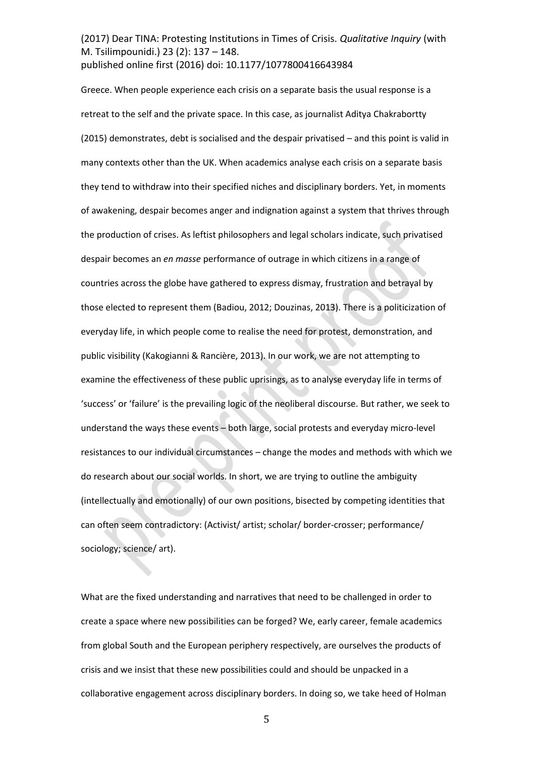Greece. When people experience each crisis on a separate basis the usual response is a retreat to the self and the private space. In this case, as journalist Aditya Chakrabortty  $(2015)$  demonstrates, debt is socialised and the despair privatised  $-$  and this point is valid in many contexts other than the UK. When academics analyse each crisis on a separate basis they tend to withdraw into their specified niches and disciplinary borders. Yet, in moments of awakening, despair becomes anger and indignation against a system that thrives through the production of crises. As leftist philosophers and legal scholars indicate, such privatised despair becomes an *en masse* performance of outrage in which citizens in a range of countries across the globe have gathered to express dismay, frustration and betrayal by those elected to represent them (Badiou, 2012; Douzinas, 2013). There is a politicization of everyday life, in which people come to realise the need for protest, demonstration, and public visibility (Kakogianni & Rancière, 2013). In our work, we are not attempting to examine the effectiveness of these public uprisings, as to analyse everyday life in terms of 'success' or 'failure' is the prevailing logic of the neoliberal discourse. But rather, we seek to understand the ways these events - both large, social protests and everyday micro-level resistances to our individual circumstances - change the modes and methods with which we do research about our social worlds. In short, we are trying to outline the ambiguity (intellectually and emotionally) of our own positions, bisected by competing identities that can often seem contradictory: (Activist/ artist; scholar/ border-crosser; performance/ sociology; science/ art).

What are the fixed understanding and narratives that need to be challenged in order to create a space where new possibilities can be forged? We, early career, female academics from global South and the European periphery respectively, are ourselves the products of crisis and we insist that these new possibilities could and should be unpacked in a collaborative engagement across disciplinary borders. In doing so, we take heed of Holman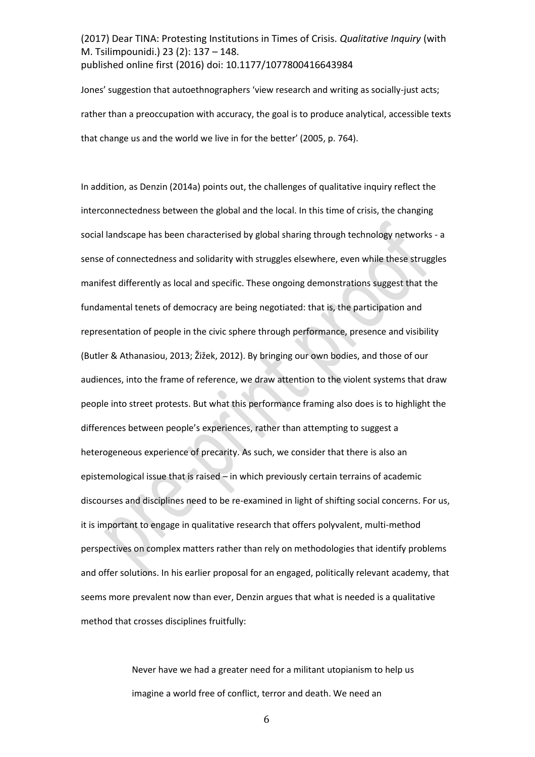Jones' suggestion that autoethnographers 'view research and writing as socially-just acts; rather than a preoccupation with accuracy, the goal is to produce analytical, accessible texts that change us and the world we live in for the better' (2005, p. 764).

In addition, as Denzin (2014a) points out, the challenges of qualitative inquiry reflect the interconnectedness between the global and the local. In this time of crisis, the changing social landscape has been characterised by global sharing through technology networks - a sense of connectedness and solidarity with struggles elsewhere, even while these struggles manifest differently as local and specific. These ongoing demonstrations suggest that the fundamental tenets of democracy are being negotiated: that is, the participation and representation of people in the civic sphere through performance, presence and visibility (Butler & Athanasiou, 2013; Žižek, 2012). By bringing our own bodies, and those of our audiences, into the frame of reference, we draw attention to the violent systems that draw people into street protests. But what this performance framing also does is to highlight the differences between people's experiences, rather than attempting to suggest a heterogeneous experience of precarity. As such, we consider that there is also an epistemological issue that is raised - in which previously certain terrains of academic discourses and disciplines need to be re-examined in light of shifting social concerns. For us, it is important to engage in qualitative research that offers polyvalent, multi-method perspectives on complex matters rather than rely on methodologies that identify problems and offer solutions. In his earlier proposal for an engaged, politically relevant academy, that seems more prevalent now than ever, Denzin argues that what is needed is a qualitative method that crosses disciplines fruitfully:

> Never have we had a greater need for a militant utopianism to help us imagine a world free of conflict, terror and death. We need an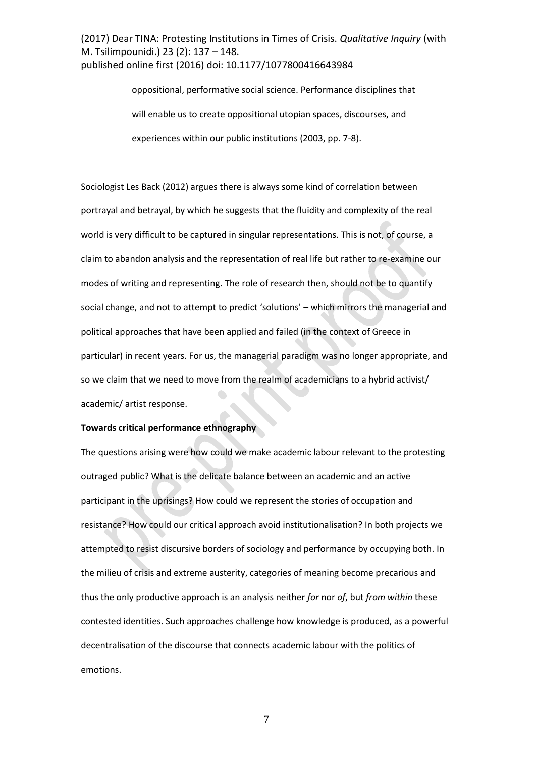> oppositional, performative social science. Performance disciplines that will enable us to create oppositional utopian spaces, discourses, and experiences within our public institutions (2003, pp. 7-8).

Sociologist Les Back (2012) argues there is always some kind of correlation between portrayal and betrayal, by which he suggests that the fluidity and complexity of the real world is very difficult to be captured in singular representations. This is not, of course, a claim to abandon analysis and the representation of real life but rather to re-examine our modes of writing and representing. The role of research then, should not be to quantify social change, and not to attempt to predict 'solutions' – which mirrors the managerial and political approaches that have been applied and failed (in the context of Greece in particular) in recent years. For us, the managerial paradigm was no longer appropriate, and so we claim that we need to move from the realm of academicians to a hybrid activist/ academic/ artist response.

## **Towards critical performance ethnography**

The questions arising were how could we make academic labour relevant to the protesting outraged public? What is the delicate balance between an academic and an active participant in the uprisings? How could we represent the stories of occupation and resistance? How could our critical approach avoid institutionalisation? In both projects we attempted to resist discursive borders of sociology and performance by occupying both. In the milieu of crisis and extreme austerity, categories of meaning become precarious and thus the only productive approach is an analysis neither *for* nor *of*, but *from within* these contested identities. Such approaches challenge how knowledge is produced, as a powerful decentralisation of the discourse that connects academic labour with the politics of emotions.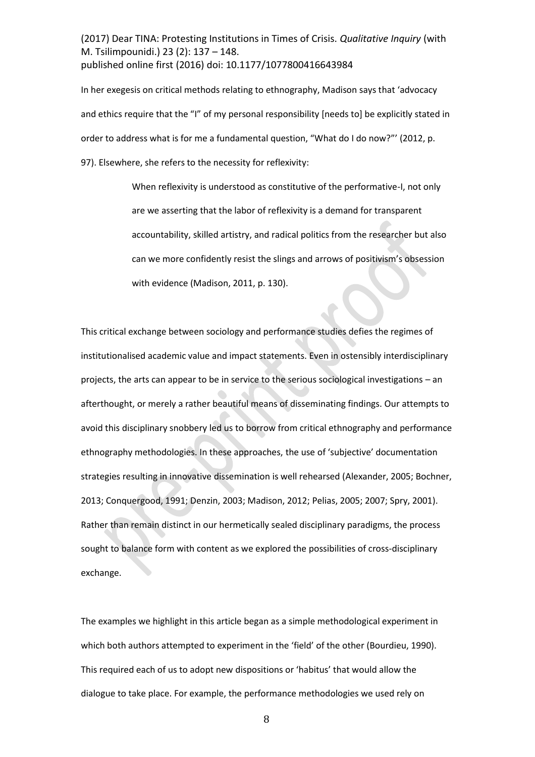In her exegesis on critical methods relating to ethnography, Madison says that 'advocacy and ethics require that the "I" of my personal responsibility [needs to] be explicitly stated in order to address what is for me a fundamental question, "What do I do now?"' (2012, p. 97). Elsewhere, she refers to the necessity for reflexivity:

> When reflexivity is understood as constitutive of the performative-I, not only are we asserting that the labor of reflexivity is a demand for transparent accountability, skilled artistry, and radical politics from the researcher but also can we more confidently resist the slings and arrows of positivism's obsession with evidence (Madison, 2011, p. 130).

This critical exchange between sociology and performance studies defies the regimes of institutionalised academic value and impact statements. Even in ostensibly interdisciplinary projects, the arts can appear to be in service to the serious sociological investigations – an afterthought, or merely a rather beautiful means of disseminating findings. Our attempts to avoid this disciplinary snobbery led us to borrow from critical ethnography and performance ethnography methodologies. In these approaches, the use of 'subjective' documentation strategies resulting in innovative dissemination is well rehearsed (Alexander, 2005; Bochner, 2013; Conquergood, 1991; Denzin, 2003; Madison, 2012; Pelias, 2005; 2007; Spry, 2001). Rather than remain distinct in our hermetically sealed disciplinary paradigms, the process sought to balance form with content as we explored the possibilities of cross-disciplinary exchange.

The examples we highlight in this article began as a simple methodological experiment in which both authors attempted to experiment in the 'field' of the other (Bourdieu, 1990). This required each of us to adopt new dispositions or 'habitus' that would allow the dialogue to take place. For example, the performance methodologies we used rely on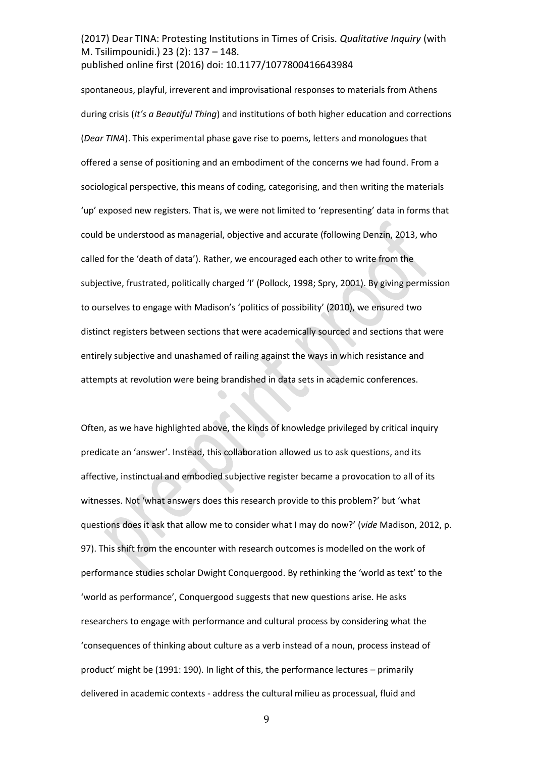spontaneous, playful, irreverent and improvisational responses to materials from Athens during crisis (*It's a Beautiful Thing*) and institutions of both higher education and corrections (*Dear TINA*). This experimental phase gave rise to poems, letters and monologues that offered a sense of positioning and an embodiment of the concerns we had found. From a sociological perspective, this means of coding, categorising, and then writing the materials 'up' exposed new registers. That is, we were not limited to 'representing' data in forms that could be understood as managerial, objective and accurate (following Denzin, 2013, who called for the 'death of data'). Rather, we encouraged each other to write from the subjective, frustrated, politically charged 'I' (Pollock, 1998; Spry, 2001). By giving permission to ourselves to engage with Madison's 'politics of possibility' (2010), we ensured two distinct registers between sections that were academically sourced and sections that were entirely subjective and unashamed of railing against the ways in which resistance and attempts at revolution were being brandished in data sets in academic conferences.

Often, as we have highlighted above, the kinds of knowledge privileged by critical inquiry predicate an 'answer'. Instead, this collaboration allowed us to ask questions, and its affective, instinctual and embodied subjective register became a provocation to all of its witnesses. Not 'what answers does this research provide to this problem?' but 'what questions does it ask that allow me to consider what I may do now?' (vide Madison, 2012, p. 97). This shift from the encounter with research outcomes is modelled on the work of performance studies scholar Dwight Conquergood. By rethinking the 'world as text' to the 'world as performance', Conquergood suggests that new questions arise. He asks researchers to engage with performance and cultural process by considering what the 'consequences of thinking about culture as a verb instead of a noun, process instead of product' might be (1991: 190). In light of this, the performance lectures - primarily delivered in academic contexts - address the cultural milieu as processual, fluid and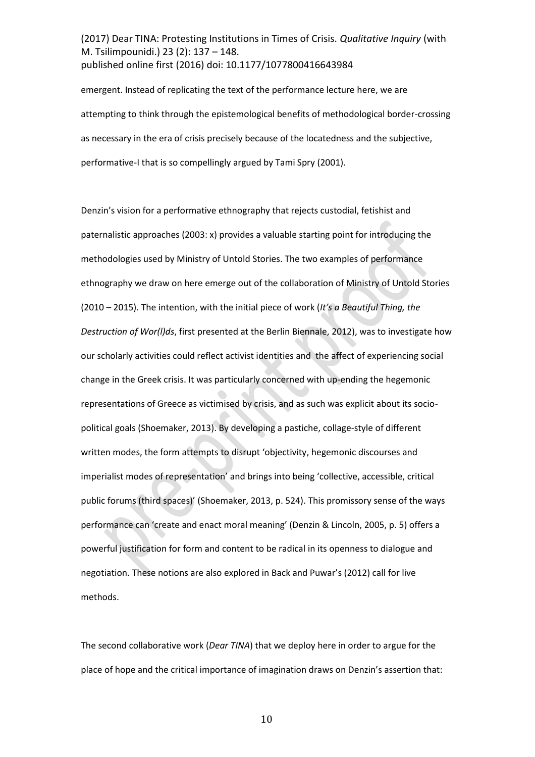emergent. Instead of replicating the text of the performance lecture here, we are attempting to think through the epistemological benefits of methodological border-crossing as necessary in the era of crisis precisely because of the locatedness and the subjective, performative-I that is so compellingly argued by Tami Spry (2001).

Denzin's vision for a performative ethnography that rejects custodial, fetishist and paternalistic approaches (2003: x) provides a valuable starting point for introducing the methodologies used by Ministry of Untold Stories. The two examples of performance ethnography we draw on here emerge out of the collaboration of Ministry of Untold Stories (2010 – 2015). The intention, with the initial piece of work (*It's a Beautiful Thing, the Destruction of Wor(l)ds*, first presented at the Berlin Biennale, 2012), was to investigate how our scholarly activities could reflect activist identities and the affect of experiencing social change in the Greek crisis. It was particularly concerned with up-ending the hegemonic representations of Greece as victimised by crisis, and as such was explicit about its sociopolitical goals (Shoemaker, 2013). By developing a pastiche, collage-style of different written modes, the form attempts to disrupt 'objectivity, hegemonic discourses and imperialist modes of representation' and brings into being 'collective, accessible, critical public forums (third spaces)' (Shoemaker, 2013, p. 524). This promissory sense of the ways performance can 'create and enact moral meaning' (Denzin & Lincoln, 2005, p. 5) offers a powerful justification for form and content to be radical in its openness to dialogue and negotiation. These notions are also explored in Back and Puwar's (2012) call for live methods.

The second collaborative work (*Dear TINA*) that we deploy here in order to argue for the place of hope and the critical importance of imagination draws on Denzin's assertion that: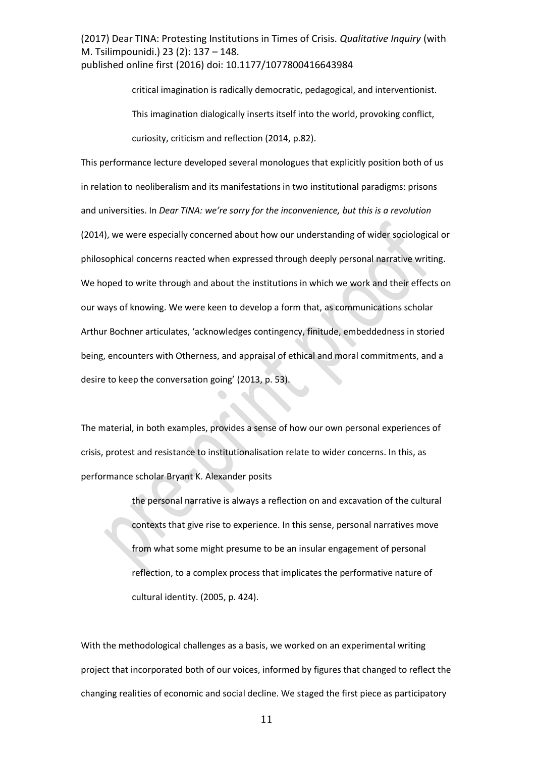> critical imagination is radically democratic, pedagogical, and interventionist. This imagination dialogically inserts itself into the world, provoking conflict, curiosity, criticism and reflection (2014, p.82).

This performance lecture developed several monologues that explicitly position both of us in relation to neoliberalism and its manifestations in two institutional paradigms: prisons and universities. In *Dear TINA: we're sorry for the inconvenience, but this is a revolution* (2014), we were especially concerned about how our understanding of wider sociological or philosophical concerns reacted when expressed through deeply personal narrative writing. We hoped to write through and about the institutions in which we work and their effects on our ways of knowing. We were keen to develop a form that, as communications scholar Arthur Bochner articulates, 'acknowledges contingency, finitude, embeddedness in storied being, encounters with Otherness, and appraisal of ethical and moral commitments, and a desire to keep the conversation going' (2013, p. 53).

The material, in both examples, provides a sense of how our own personal experiences of crisis, protest and resistance to institutionalisation relate to wider concerns. In this, as performance scholar Bryant K. Alexander posits

> the personal narrative is always a reflection on and excavation of the cultural contexts that give rise to experience. In this sense, personal narratives move from what some might presume to be an insular engagement of personal reflection, to a complex process that implicates the performative nature of cultural identity. (2005, p. 424).

With the methodological challenges as a basis, we worked on an experimental writing project that incorporated both of our voices, informed by figures that changed to reflect the changing realities of economic and social decline. We staged the first piece as participatory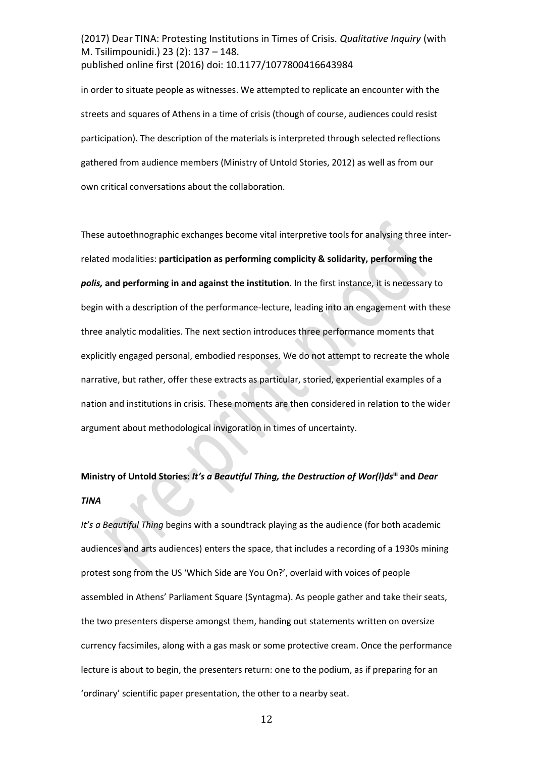in order to situate people as witnesses. We attempted to replicate an encounter with the streets and squares of Athens in a time of crisis (though of course, audiences could resist participation). The description of the materials is interpreted through selected reflections gathered from audience members (Ministry of Untold Stories, 2012) as well as from our own critical conversations about the collaboration.

These autoethnographic exchanges become vital interpretive tools for analysing three interrelated modalities: **participation as performing complicity & solidarity, performing the**  *polis,* **and performing in and against the institution**. In the first instance, it is necessary to begin with a description of the performance-lecture, leading into an engagement with these three analytic modalities. The next section introduces three performance moments that explicitly engaged personal, embodied responses. We do not attempt to recreate the whole narrative, but rather, offer these extracts as particular, storied, experiential examples of a nation and institutions in crisis. These moments are then considered in relation to the wider argument about methodological invigoration in times of uncertainty.

# *Ministry of Untold Stories: It's a Beautiful Thing, the Destruction of Wor(I)ds*<sup>iii</sup> and *Dear TINA*

*It's a Beautiful Thing begins with a soundtrack playing as the audience (for both academic* audiences and arts audiences) enters the space, that includes a recording of a 1930s mining protest song from the US 'Which Side are You On?', overlaid with voices of people assembled in Athens' Parliament Square (Syntagma). As people gather and take their seats, the two presenters disperse amongst them, handing out statements written on oversize currency facsimiles, along with a gas mask or some protective cream. Once the performance lecture is about to begin, the presenters return: one to the podium, as if preparing for an 'ordinary' scientific paper presentation, the other to a nearby seat.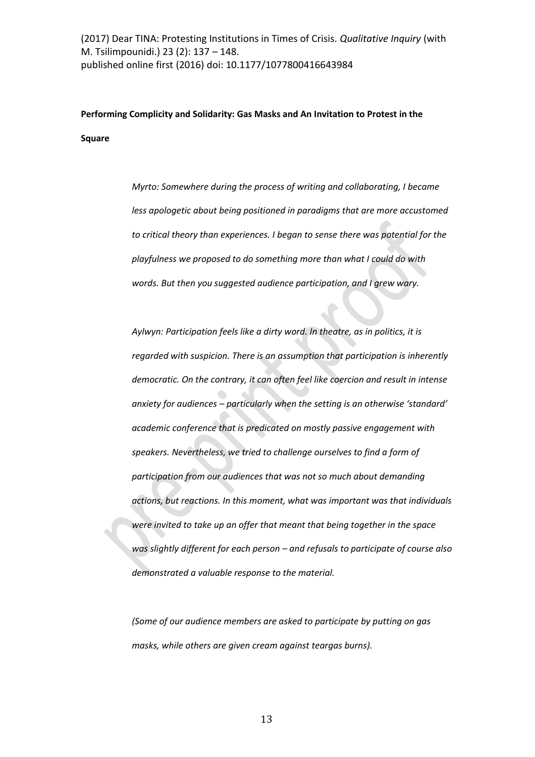**Performing Complicity and Solidarity: Gas Masks and An Invitation to Protest in the Square** 

> *Myrto: Somewhere during the process of writing and collaborating, I became less apologetic about being positioned in paradigms that are more accustomed to critical theory than experiences. I began to sense there was potential for the playfulness we proposed to do something more than what I could do with words. But then you suggested audience participation, and I grew wary.*

*Aylwyn: Participation feels like a dirty word. In theatre, as in politics, it is regarded with suspicion. There is an assumption that participation is inherently democratic. On the contrary, it can often feel like coercion and result in intense anxiety for audiences - particularly when the setting is an otherwise 'standard' academic conference that is predicated on mostly passive engagement with speakers. Nevertheless, we tried to challenge ourselves to find a form of participation from our audiences that was not so much about demanding actions, but reactions. In this moment, what was important was that individuals were invited to take up an offer that meant that being together in the space was slightly different for each person – and refusals to participate of course also demonstrated a valuable response to the material.* 

*(Some of our audience members are asked to participate by putting on gas masks, while others are given cream against teargas burns).*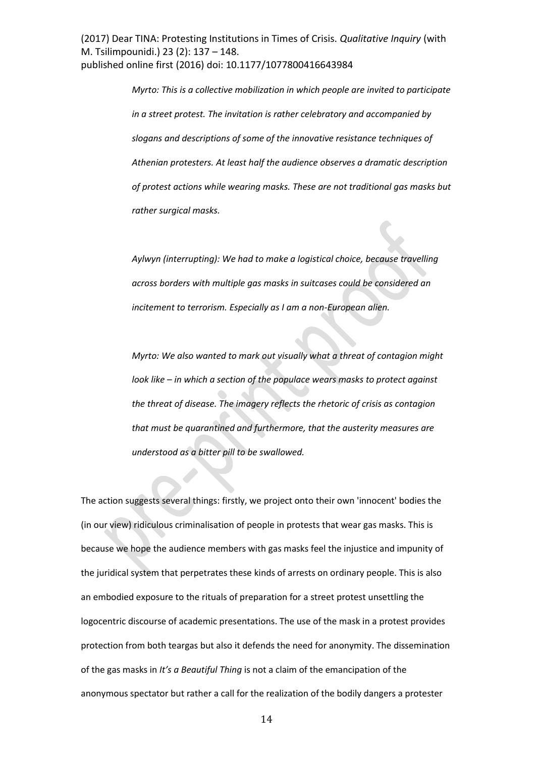> *Myrto: This is a collective mobilization in which people are invited to participate in a street protest. The invitation is rather celebratory and accompanied by slogans and descriptions of some of the innovative resistance techniques of Athenian protesters. At least half the audience observes a dramatic description of protest actions while wearing masks. These are not traditional gas masks but rather surgical masks.*

*Aylwyn (interrupting): We had to make a logistical choice, because travelling across borders with multiple gas masks in suitcases could be considered an incitement to terrorism. Especially as I am a non-European alien.* 

*Myrto: We also wanted to mark out visually what a threat of contagion might look like – in which a section of the populace wears masks to protect against the threat of disease. The imagery reflects the rhetoric of crisis as contagion that must be quarantined and furthermore, that the austerity measures are understood as a bitter pill to be swallowed.* 

The action suggests several things: firstly, we project onto their own 'innocent' bodies the (in our view) ridiculous criminalisation of people in protests that wear gas masks. This is because we hope the audience members with gas masks feel the injustice and impunity of the juridical system that perpetrates these kinds of arrests on ordinary people. This is also an embodied exposure to the rituals of preparation for a street protest unsettling the logocentric discourse of academic presentations. The use of the mask in a protest provides protection from both teargas but also it defends the need for anonymity. The dissemination of the gas masks in *It's a Beautiful Thing* is not a claim of the emancipation of the anonymous spectator but rather a call for the realization of the bodily dangers a protester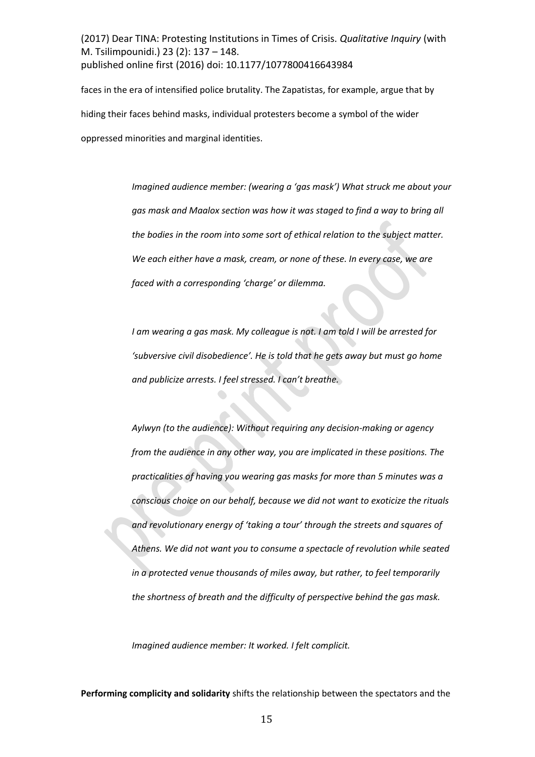faces in the era of intensified police brutality. The Zapatistas, for example, argue that by hiding their faces behind masks, individual protesters become a symbol of the wider oppressed minorities and marginal identities.

> *Imagined audience member: (wearing a 'gas mask')* What struck me about your *gas mask and Maalox section was how it was staged to find a way to bring all the bodies in the room into some sort of ethical relation to the subject matter. We each either have a mask, cream, or none of these. In every case, we are faced with a corresponding 'charge' or dilemma.*

*I am wearing a gas mask. My colleague is not. I am told I will be arrested for*  'subversive civil disobedience'. He is told that he gets away but must go home *and publicize arrests. I feel stressed. I can't breathe.* 

*Aylwyn (to the audience): Without requiring any decision-making or agency from the audience in any other way, you are implicated in these positions. The practicalities of having you wearing gas masks for more than 5 minutes was a conscious choice on our behalf, because we did not want to exoticize the rituals*  and revolutionary energy of 'taking a tour' through the streets and squares of *Athens. We did not want you to consume a spectacle of revolution while seated in a protected venue thousands of miles away, but rather, to feel temporarily the shortness of breath and the difficulty of perspective behind the gas mask.* 

*Imagined audience member: It worked. I felt complicit.* 

**Performing complicity and solidarity** shifts the relationship between the spectators and the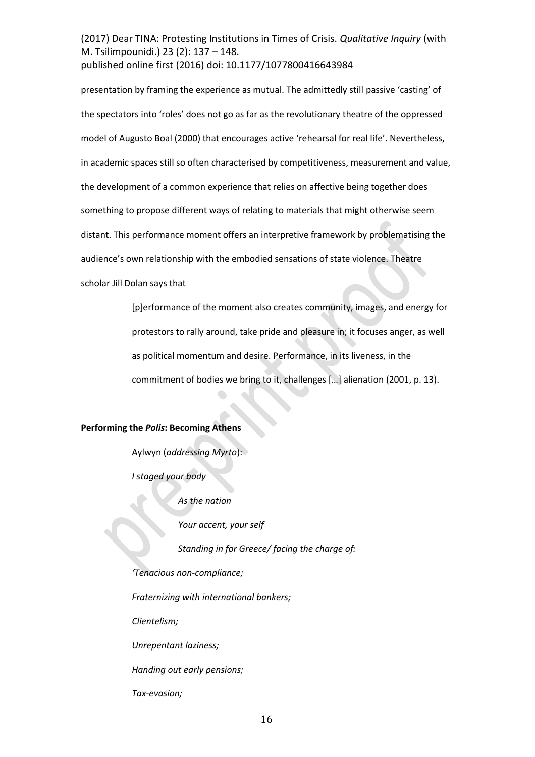presentation by framing the experience as mutual. The admittedly still passive 'casting' of the spectators into 'roles' does not go as far as the revolutionary theatre of the oppressed model of Augusto Boal (2000) that encourages active 'rehearsal for real life'. Nevertheless, in academic spaces still so often characterised by competitiveness, measurement and value, the development of a common experience that relies on affective being together does something to propose different ways of relating to materials that might otherwise seem distant. This performance moment offers an interpretive framework by problematising the audience's own relationship with the embodied sensations of state violence. Theatre scholar Jill Dolan says that

> [p]erformance of the moment also creates community, images, and energy for protestors to rally around, take pride and pleasure in; it focuses anger, as well as political momentum and desire. Performance, in its liveness, in the commitment of bodies we bring to it, challenges [...] alienation (2001, p. 13).

## **Performing the** *Polis***: Becoming Athens**

Aylwyn (*addressing Myrto*):

*I staged your body* 

 *As the nation* 

 *Your accent, your self* 

 *Standing in for Greece/ facing the charge of:* 

*けTWミ;Iキラ┌ゲ ミラミ-compliance;* 

*Fraternizing with international bankers;* 

*Clientelism;* 

*Unrepentant laziness;* 

*Handing out early pensions;*

*Tax-evasion;*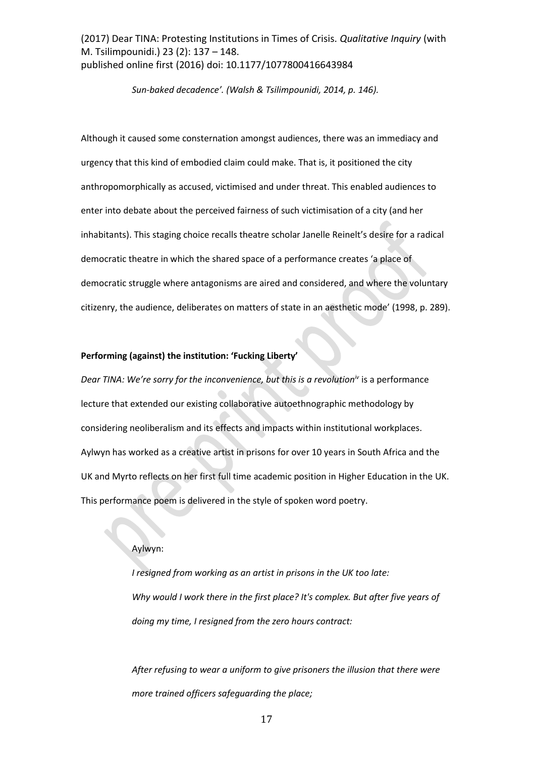*Sun-baked decadence*<sup>'</sup>. (Walsh & Tsilimpounidi, 2014, p. 146).

Although it caused some consternation amongst audiences, there was an immediacy and urgency that this kind of embodied claim could make. That is, it positioned the city anthropomorphically as accused, victimised and under threat. This enabled audiences to enter into debate about the perceived fairness of such victimisation of a city (and her inhabitants). This staging choice recalls theatre scholar Janelle Reinelt's desire for a radical democratic theatre in which the shared space of a performance creates 'a place of democratic struggle where antagonisms are aired and considered, and where the voluntary citizenry, the audience, deliberates on matters of state in an aesthetic mode' (1998, p. 289).

#### **Performing (against) the institution: 'Fucking Liberty'**

*Dear TINA: We're sorry for the inconvenience, but this is a revolution<sup>iv</sup> is a performance* lecture that extended our existing collaborative autoethnographic methodology by considering neoliberalism and its effects and impacts within institutional workplaces. Aylwyn has worked as a creative artist in prisons for over 10 years in South Africa and the UK and Myrto reflects on her first full time academic position in Higher Education in the UK. This performance poem is delivered in the style of spoken word poetry.

#### Aylwyn:

*I resigned from working as an artist in prisons in the UK too late: Why would I work there in the first place? It's complex. But after five years of doing my time, I resigned from the zero hours contract:* 

*After refusing to wear a uniform to give prisoners the illusion that there were more trained officers safeguarding the place;*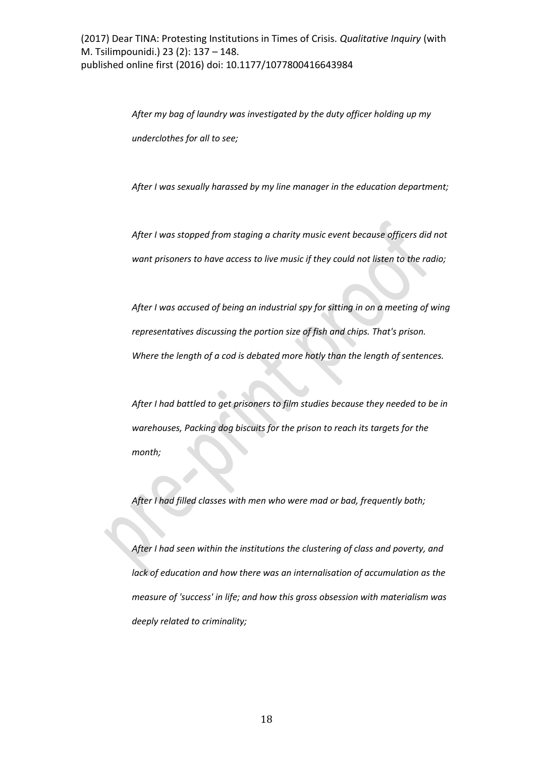*After my bag of laundry was investigated by the duty officer holding up my underclothes for all to see;* 

*After I was sexually harassed by my line manager in the education department;* 

*After I was stopped from staging a charity music event because officers did not want prisoners to have access to live music if they could not listen to the radio;* 

*After I was accused of being an industrial spy for sitting in on a meeting of wing representatives discussing the portion size of fish and chips. That's prison. Where the length of a cod is debated more hotly than the length of sentences.* 

*After I had battled to get prisoners to film studies because they needed to be in warehouses, Packing dog biscuits for the prison to reach its targets for the month;* 

*After I had filled classes with men who were mad or bad, frequently both;* 

*After I had seen within the institutions the clustering of class and poverty, and lack of education and how there was an internalisation of accumulation as the measure of 'success' in life; and how this gross obsession with materialism was deeply related to criminality;*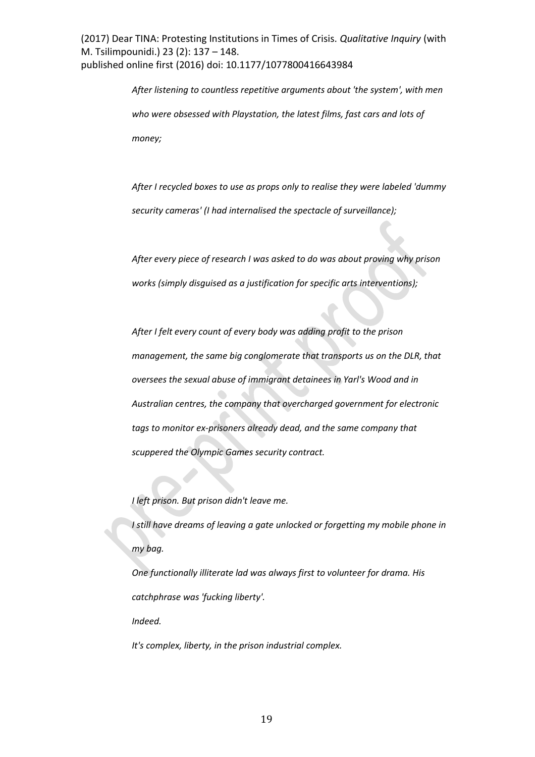> *After listening to countless repetitive arguments about 'the system', with men who were obsessed with Playstation, the latest films, fast cars and lots of money;*

> *After I recycled boxes to use as props only to realise they were labeled 'dummy security cameras' (I had internalised the spectacle of surveillance);*

*After every piece of research I was asked to do was about proving why prison works (simply disguised as a justification for specific arts interventions);* 

*After I felt every count of every body was adding profit to the prison management, the same big conglomerate that transports us on the DLR, that oversees the sexual abuse of immigrant detainees in Yarl's Wood and in Australian centres, the company that overcharged government for electronic tags to monitor ex-prisoners already dead, and the same company that scuppered the Olympic Games security contract.* 

*I left prison. But prison didn't leave me.* 

*I still have dreams of leaving a gate unlocked or forgetting my mobile phone in my bag.*

*One functionally illiterate lad was always first to volunteer for drama. His catchphrase was 'fucking liberty'.* 

*Indeed.* 

*It's complex, liberty, in the prison industrial complex.*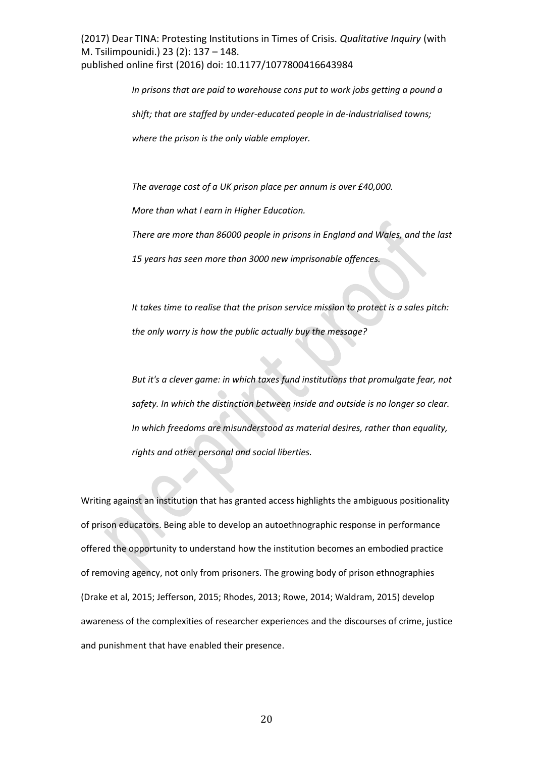> *In prisons that are paid to warehouse cons put to work jobs getting a pound a shift; that are staffed by under-educated people in de-industrialised towns; where the prison is the only viable employer.*

*The average cost of a UK prison place per annum is over £40,000.* 

*More than what I earn in Higher Education.* 

*There are more than 86000 people in prisons in England and Wales, and the last* 

*15 years has seen more than 3000 new imprisonable offences.* 

*It takes time to realise that the prison service mission to protect is a sales pitch: the only worry is how the public actually buy the message?* 

*But it's a clever game: in which taxes fund institutions that promulgate fear, not safety. In which the distinction between inside and outside is no longer so clear. In which freedoms are misunderstood as material desires, rather than equality, rights and other personal and social liberties.* 

Writing against an institution that has granted access highlights the ambiguous positionality of prison educators. Being able to develop an autoethnographic response in performance offered the opportunity to understand how the institution becomes an embodied practice of removing agency, not only from prisoners. The growing body of prison ethnographies (Drake et al, 2015; Jefferson, 2015; Rhodes, 2013; Rowe, 2014; Waldram, 2015) develop awareness of the complexities of researcher experiences and the discourses of crime, justice and punishment that have enabled their presence.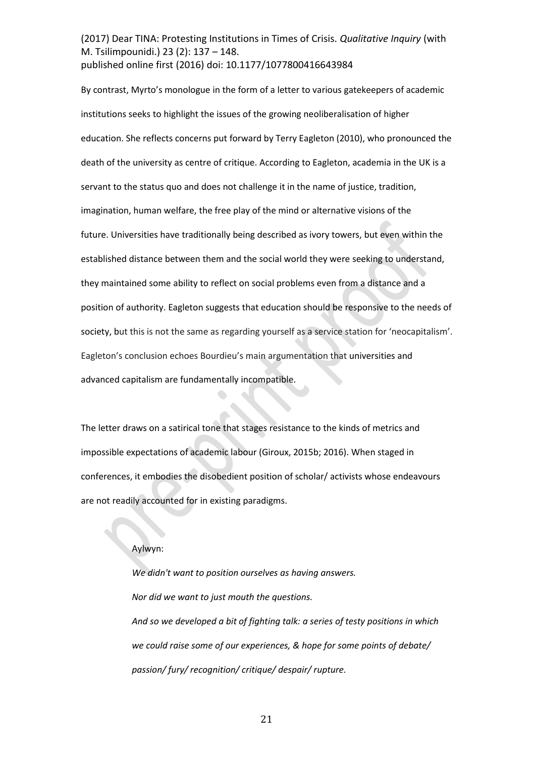By contrast, Myrto's monologue in the form of a letter to various gatekeepers of academic institutions seeks to highlight the issues of the growing neoliberalisation of higher education. She reflects concerns put forward by Terry Eagleton (2010), who pronounced the death of the university as centre of critique. According to Eagleton, academia in the UK is a servant to the status quo and does not challenge it in the name of justice, tradition, imagination, human welfare, the free play of the mind or alternative visions of the future. Universities have traditionally being described as ivory towers, but even within the established distance between them and the social world they were seeking to understand, they maintained some ability to reflect on social problems even from a distance and a position of authority. Eagleton suggests that education should be responsive to the needs of society, but this is not the same as regarding yourself as a service station for 'neocapitalism'. Eagleton's conclusion echoes Bourdieu's main argumentation that universities and advanced capitalism are fundamentally incompatible.

The letter draws on a satirical tone that stages resistance to the kinds of metrics and impossible expectations of academic labour (Giroux, 2015b; 2016). When staged in conferences, it embodies the disobedient position of scholar/ activists whose endeavours are not readily accounted for in existing paradigms.

#### Aylwyn:

*We didn't want to position ourselves as having answers. Nor did we want to just mouth the questions. And so we developed a bit of fighting talk: a series of testy positions in which we could raise some of our experiences, & hope for some points of debate/ passion/ fury/ recognition/ critique/ despair/ rupture.*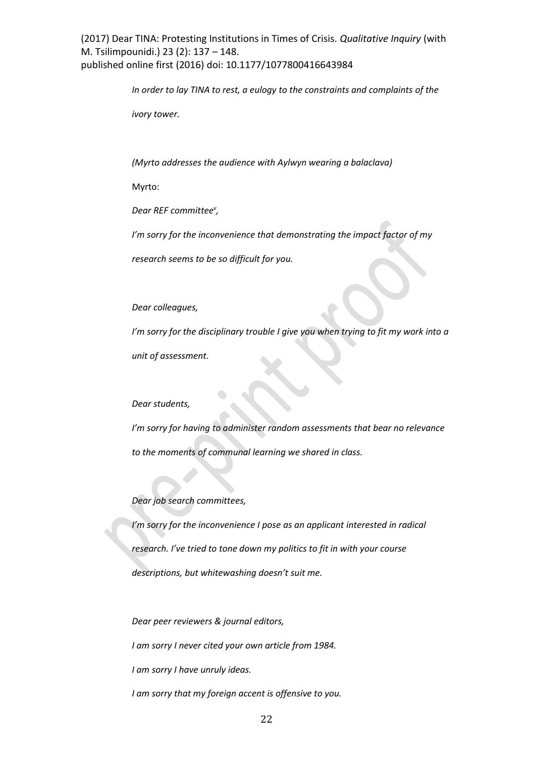*In order to lay TINA to rest, a eulogy to the constraints and complaints of the* 

*ivory tower.* 

*(Myrto addresses the audience with Aylwyn wearing a balaclava)* 

Myrto:

*Dear REF committee<sup>v</sup> ,* 

*Iげm sorry for the inconvenience that demonstrating the impact factor of my*

*research seems to be so difficult for you.* 

*Dear colleagues,* 

*I*<sup>*'m*</sup> sorry for the disciplinary trouble I give you when trying to fit my work into a *unit of assessment.* 

## *Dear students,*

*Iげm sorry for having to administer random assessments that bear no relevance to the moments of communal learning we shared in class.* 

## *Dear job search committees,*

*Iげm sorry for the inconvenience I pose as an applicant interested in radical research. I've tried to tone down my politics to fit in with your course descriptions, but whitewashing doesn't suit me.* 

*Dear peer reviewers & journal editors,* 

*I am sorry I never cited your own article from 1984.* 

*I am sorry I have unruly ideas.* 

*I am sorry that my foreign accent is offensive to you.*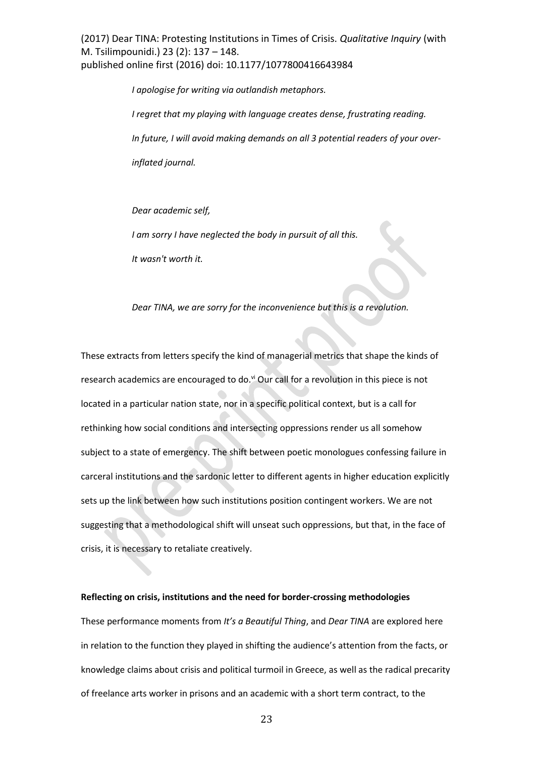> *I apologise for writing via outlandish metaphors. I regret that my playing with language creates dense, frustrating reading. In future, I will avoid making demands on all 3 potential readers of your overinflated journal.*

*Dear academic self,* 

*I am sorry I have neglected the body in pursuit of all this.* 

*It wasn't worth it.* 

*Dear TINA, we are sorry for the inconvenience but this is a revolution.* 

These extracts from letters specify the kind of managerial metrics that shape the kinds of research academics are encouraged to do.<sup>vi</sup> Our call for a revolution in this piece is not located in a particular nation state, nor in a specific political context, but is a call for rethinking how social conditions and intersecting oppressions render us all somehow subject to a state of emergency. The shift between poetic monologues confessing failure in carceral institutions and the sardonic letter to different agents in higher education explicitly sets up the link between how such institutions position contingent workers. We are not suggesting that a methodological shift will unseat such oppressions, but that, in the face of crisis, it is necessary to retaliate creatively.

#### **Reflecting on crisis, institutions and the need for border-crossing methodologies**

These performance moments from *It's a Beautiful Thing*, and *Dear TINA* are explored here in relation to the function they played in shifting the audience's attention from the facts, or knowledge claims about crisis and political turmoil in Greece, as well as the radical precarity of freelance arts worker in prisons and an academic with a short term contract, to the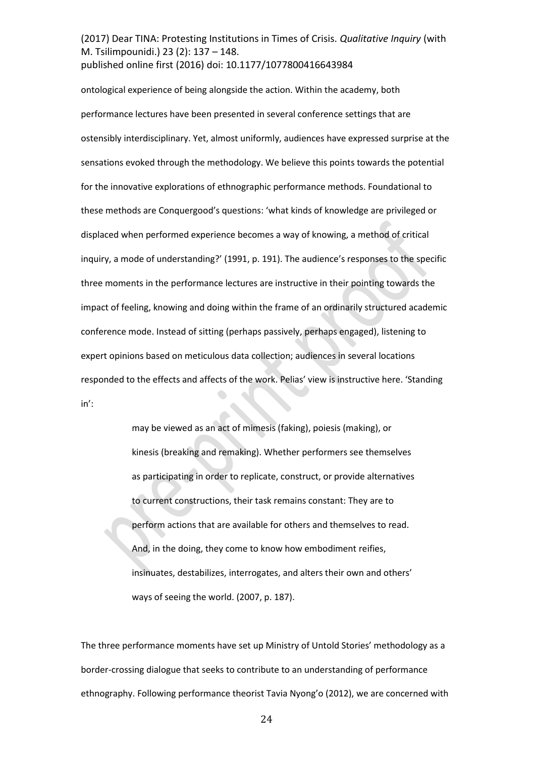ontological experience of being alongside the action. Within the academy, both performance lectures have been presented in several conference settings that are ostensibly interdisciplinary. Yet, almost uniformly, audiences have expressed surprise at the sensations evoked through the methodology. We believe this points towards the potential for the innovative explorations of ethnographic performance methods. Foundational to these methods are Conquergood's questions: 'what kinds of knowledge are privileged or displaced when performed experience becomes a way of knowing, a method of critical inquiry, a mode of understanding?' (1991, p. 191). The audience's responses to the specific three moments in the performance lectures are instructive in their pointing towards the impact of feeling, knowing and doing within the frame of an ordinarily structured academic conference mode. Instead of sitting (perhaps passively, perhaps engaged), listening to expert opinions based on meticulous data collection; audiences in several locations responded to the effects and affects of the work. Pelias' view is instructive here. 'Standing  $in$ :

> may be viewed as an act of mimesis (faking), poiesis (making), or kinesis (breaking and remaking). Whether performers see themselves as participating in order to replicate, construct, or provide alternatives to current constructions, their task remains constant: They are to perform actions that are available for others and themselves to read. And, in the doing, they come to know how embodiment reifies, insinuates, destabilizes, interrogates, and alters their own and others' ways of seeing the world. (2007, p. 187).

The three performance moments have set up Ministry of Untold Stories' methodology as a border-crossing dialogue that seeks to contribute to an understanding of performance ethnography. Following performance theorist Tavia Nyong'o (2012), we are concerned with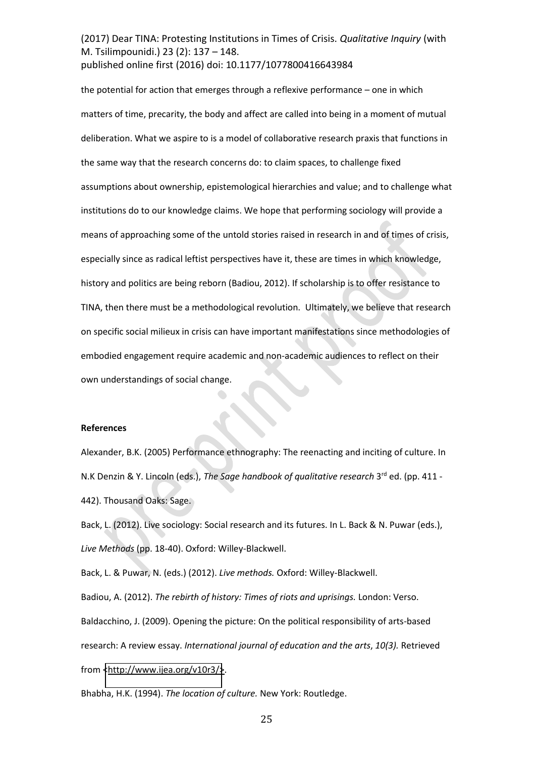the potential for action that emerges through a reflexive performance - one in which matters of time, precarity, the body and affect are called into being in a moment of mutual deliberation. What we aspire to is a model of collaborative research praxis that functions in the same way that the research concerns do: to claim spaces, to challenge fixed assumptions about ownership, epistemological hierarchies and value; and to challenge what institutions do to our knowledge claims. We hope that performing sociology will provide a means of approaching some of the untold stories raised in research in and of times of crisis, especially since as radical leftist perspectives have it, these are times in which knowledge, history and politics are being reborn (Badiou, 2012). If scholarship is to offer resistance to TINA, then there must be a methodological revolution. Ultimately, we believe that research on specific social milieux in crisis can have important manifestations since methodologies of embodied engagement require academic and non-academic audiences to reflect on their own understandings of social change.

#### **References**

Alexander, B.K. (2005) Performance ethnography: The reenacting and inciting of culture. In N.K Denzin & Y. Lincoln (eds.), *The Sage handbook of qualitative research* 3<sup>rd</sup> ed. (pp. 411 -442). Thousand Oaks: Sage.

Back, L. (2012). Live sociology: Social research and its futures. In L. Back & N. Puwar (eds.), *Live Methods* (pp. 18-40). Oxford: Willey-Blackwell.

Back, L. & Puwar, N. (eds.) (2012). *Live methods.* Oxford: Willey-Blackwell.

Badiou, A. (2012). *The rebirth of history: Times of riots and uprisings.* London: Verso. Baldacchino, J. (2009). Opening the picture: On the political responsibility of arts-based research: A review essay. *International journal of education and the arts*, *10(3).* Retrieved from [<http://www.ijea.org/v10r3/>](http://www.ijea.org/v10r3/).

Bhabha, H.K. (1994). *The location of culture.* New York: Routledge.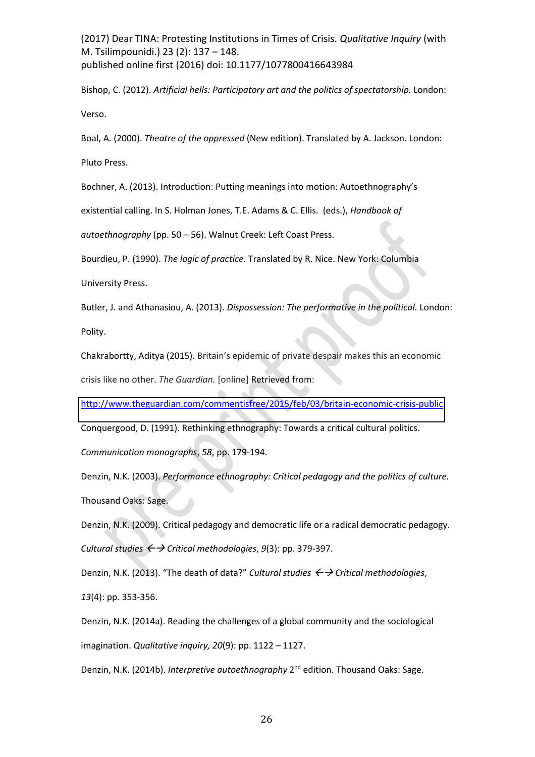Bishop, C. (2012). *Artificial hells: Participatory art and the politics of spectatorship.* London: Verso.

Boal, A. (2000). *Theatre of the oppressed* (New edition). Translated by A. Jackson. London: Pluto Press.

Bochner, A. (2013). Introduction: Putting meanings into motion: Autoethnography's

existential calling. In S. Holman Jones, T.E. Adams & C. Ellis.(eds.), *Handbook of* 

*autoethnography* (pp. 50 – 56). Walnut Creek: Left Coast Press.

Bourdieu, P. (1990). *The logic of practice.* Translated by R. Nice. New York: Columbia

University Press.

Butler, J. and Athanasiou, A. (2013). *Dispossession: The performative in the political.* London: Polity.

Chakrabortty, Aditya (2015). Britain's epidemic of private despair makes this an economic

crisis like no other. *The Guardian.* [online] Retrieved from:

[http://www.theguardian.com/commentisfree/2015/feb/03/britain-economic-crisis-public.](http://www.theguardian.com/commentisfree/2015/feb/03/britain-economic-crisis-public)

Conquergood, D. (1991). Rethinking ethnography: Towards a critical cultural politics.

*Communication monographs*, *58*, pp. 179-194.

Denzin, N.K. (2003). *Performance ethnography: Critical pedagogy and the politics of culture.* Thousand Oaks: Sage.

Denzin, N.K. (2009). Critical pedagogy and democratic life or a radical democratic pedagogy. *Cultural studies*  $\leftrightarrow$  *Critical methodologies*,  $9(3)$ : pp. 379-397.

Denzin, N.K. (2013). "The death of data?" Cultural studies ← > Critical methodologies,

*13*(4): pp. 353-356.

Denzin, N.K. (2014a). Reading the challenges of a global community and the sociological imagination. *Qualitative inquiry, 20*(9): pp. 1122 – 1127.

Denzin, N.K. (2014b). *Interpretive autoethnography* 2nd edition. Thousand Oaks: Sage.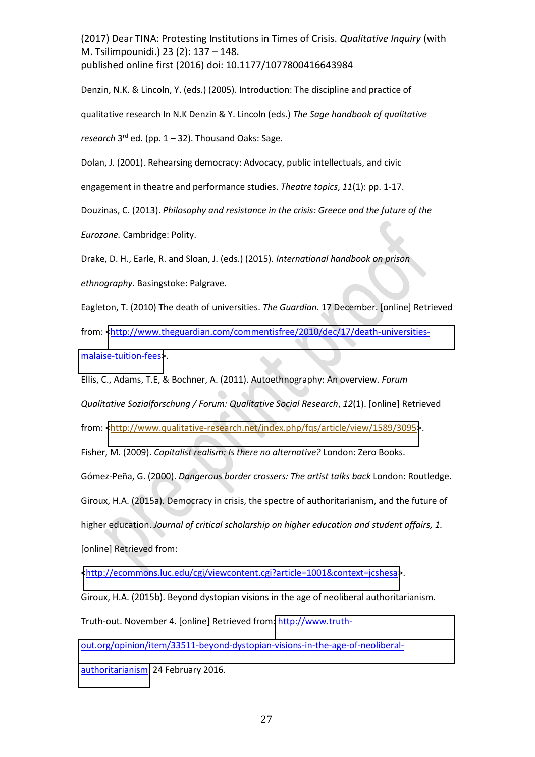Denzin, N.K. & Lincoln, Y. (eds.) (2005). Introduction: The discipline and practice of qualitative research In N.K Denzin & Y. Lincoln (eds.) *The Sage handbook of qualitative research*  $3^{rd}$  ed. (pp.  $1 - 32$ ). Thousand Oaks: Sage.

Dolan, J. (2001). Rehearsing democracy: Advocacy, public intellectuals, and civic

engagement in theatre and performance studies. *Theatre topics*, *11*(1): pp. 1-17.

Douzinas, C. (2013). *Philosophy and resistance in the crisis: Greece and the future of the* 

*Eurozone.* Cambridge: Polity.

Drake, D. H., Earle, R. and Sloan, J. (eds.) (2015). *International handbook on prison* 

*ethnography.* Basingstoke: Palgrave.

Eagleton, T. (2010) The death of universities. *The Guardian*. 17 December. [online] Retrieved

from: [<http://www.theguardian.com/commentisfree/2010/dec/17/death-universities-](http://www.theguardian.com/commentisfree/2010/dec/17/death-universities-malaise-tuition-fees)

[malaise-tuition-fees>](http://www.theguardian.com/commentisfree/2010/dec/17/death-universities-malaise-tuition-fees).

Ellis, C., Adams, T.E, & Bochner, A. (2011). Autoethnography: An overview. *Forum* 

*Qualitative Sozialforschung / Forum: Qualitative Social Research*, *12*(1). [online] Retrieved

from: [<http://www.qualitative-research.net/index.php/fqs/article/view/1589/3095>](http://www.qualitative-research.net/index.php/fqs/article/view/1589/3095).

Fisher, M. (2009). *Capitalist realism: Is there no alternative?* London: Zero Books.

Gómez-Peña, G. (2000). *Dangerous border crossers: The artist talks back* London: Routledge. Giroux, H.A. (2015a). Democracy in crisis, the spectre of authoritarianism, and the future of higher education. *Journal of critical scholarship on higher education and student affairs, 1.*  [online] Retrieved from:

[<http://ecommons.luc.edu/cgi/viewcontent.cgi?article=1001&context=jcshesa>](http://ecommons.luc.edu/cgi/viewcontent.cgi?article=1001&context=jcshesa).

Giroux, H.A. (2015b). Beyond dystopian visions in the age of neoliberal authoritarianism. Truth-out. November 4. [online] Retrieved from: [http://www.truth-](http://www.truth-out.org/opinion/item/33511-beyond-dystopian-visions-in-the-age-of-neoliberal-authoritarianism)

[out.org/opinion/item/33511-beyond-dystopian-visions-in-the-age-of-neoliberal-](http://www.truth-out.org/opinion/item/33511-beyond-dystopian-visions-in-the-age-of-neoliberal-authoritarianism)

[authoritarianism.](http://www.truth-out.org/opinion/item/33511-beyond-dystopian-visions-in-the-age-of-neoliberal-authoritarianism) 24 February 2016.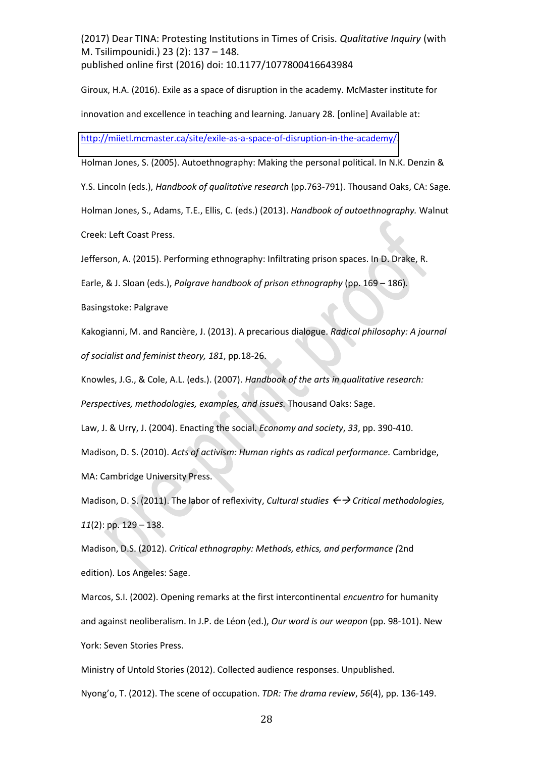Giroux, H.A. (2016). Exile as a space of disruption in the academy. McMaster institute for innovation and excellence in teaching and learning. January 28. [online] Available at:

[http://miietl.mcmaster.ca/site/exile-as-a-space-of-disruption-in-the-academy/.](http://miietl.mcmaster.ca/site/exile-as-a-space-of-disruption-in-the-academy/)

Holman Jones, S. (2005). Autoethnography: Making the personal political. In N.K. Denzin &

Y.S. Lincoln (eds.), *Handbook of qualitative research* (pp.763-791). Thousand Oaks, CA: Sage.

Holman Jones, S., Adams, T.E., Ellis, C. (eds.) (2013). *Handbook of autoethnography.* Walnut

Creek: Left Coast Press.

Jefferson, A. (2015). Performing ethnography: Infiltrating prison spaces. In D. Drake, R.

Earle, & J. Sloan (eds.), *Palgrave handbook of prison ethnography* (pp. 169 – 186).

Basingstoke: Palgrave

Kakogianni, M. and Rancière, J. (2013). A precarious dialogue. *Radical philosophy: A journal of socialist and feminist theory, 181*, pp.18-26.

Knowles, J.G., & Cole, A.L. (eds.). (2007). *Handbook of the arts in qualitative research: Perspectives, methodologies, examples, and issues.* Thousand Oaks: Sage.

Law, J. & Urry, J. (2004). Enacting the social. *Economy and society*, *33*, pp. 390-410.

Madison, D. S. (2010). *Acts of activism: Human rights as radical performance.* Cambridge, MA: Cambridge University Press.

Madison, D. S. (2011). The labor of reflexivity, *Cultural studies*  $\leftrightarrow$  *Critical methodologies*, *11*(2): pp. 129 - 138.

Madison, D.S. (2012). *Critical ethnography: Methods, ethics, and performance (*2nd edition). Los Angeles: Sage.

Marcos, S.I. (2002). Opening remarks at the first intercontinental *encuentro* for humanity and against neoliberalism. In J.P. de LÈon (ed.), *Our word is our weapon* (pp. 98-101). New York: Seven Stories Press.

Ministry of Untold Stories (2012). Collected audience responses. Unpublished.

Nyong'o, T. (2012). The scene of occupation. *TDR: The drama review*, 56(4), pp. 136-149.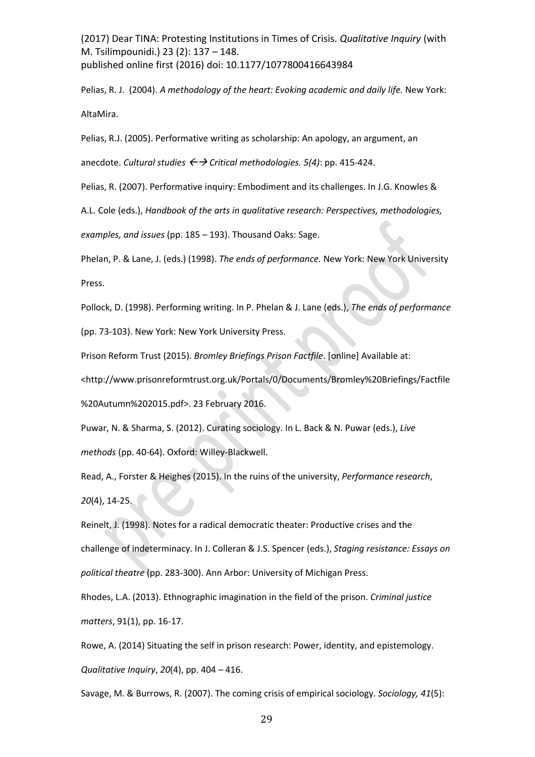Pelias, R. J. (2004). *A methodology of the heart: Evoking academic and daily life.* New York: AltaMira.

Pelias, R.J. (2005). Performative writing as scholarship: An apology, an argument, an

anecdote. *Cultural studies Critical methodologies. 5(4)*: pp. 415-424.

Pelias, R. (2007). Performative inquiry: Embodiment and its challenges. In J.G. Knowles &

A.L. Cole (eds.), *Handbook of the arts in qualitative research: Perspectives, methodologies,* 

*examples, and issues* (pp. 185 - 193). Thousand Oaks: Sage.

Phelan, P. & Lane, J. (eds.) (1998). *The ends of performance.* New York: New York University Press.

Pollock, D. (1998). Performing writing. In P. Phelan & J. Lane (eds.), *The ends of performance*

(pp. 73-103). New York: New York University Press.

Prison Reform Trust (2015). *Bromley Briefings Prison Factfile*. [online] Available at:

<http://www.prisonreformtrust.org.uk/Portals/0/Documents/Bromley%20Briefings/Factfile

%20Autumn%202015.pdf>. 23 February 2016.

Puwar, N. & Sharma, S. (2012). Curating sociology. In L. Back & N. Puwar (eds.), *Live methods* (pp. 40-64). Oxford: Willey-Blackwell.

Read, A., Forster & Heighes (2015). In the ruins of the university, *Performance research*, *20*(4), 14-25.

Reinelt, J. (1998). Notes for a radical democratic theater: Productive crises and the challenge of indeterminacy. In J. Colleran & J.S. Spencer (eds.), *Staging resistance: Essays on political theatre* (pp. 283-300). Ann Arbor: University of Michigan Press.

Rhodes, L.A. (2013). Ethnographic imagination in the field of the prison. *Criminal justice matters*, 91(1), pp. 16-17.

Rowe, A. (2014) Situating the self in prison research: Power, identity, and epistemology. *Qualitative Inquiry, 20(4), pp. 404 - 416.* 

Savage, M. & Burrows, R. (2007). The coming crisis of empirical sociology. *Sociology, 41*(5):